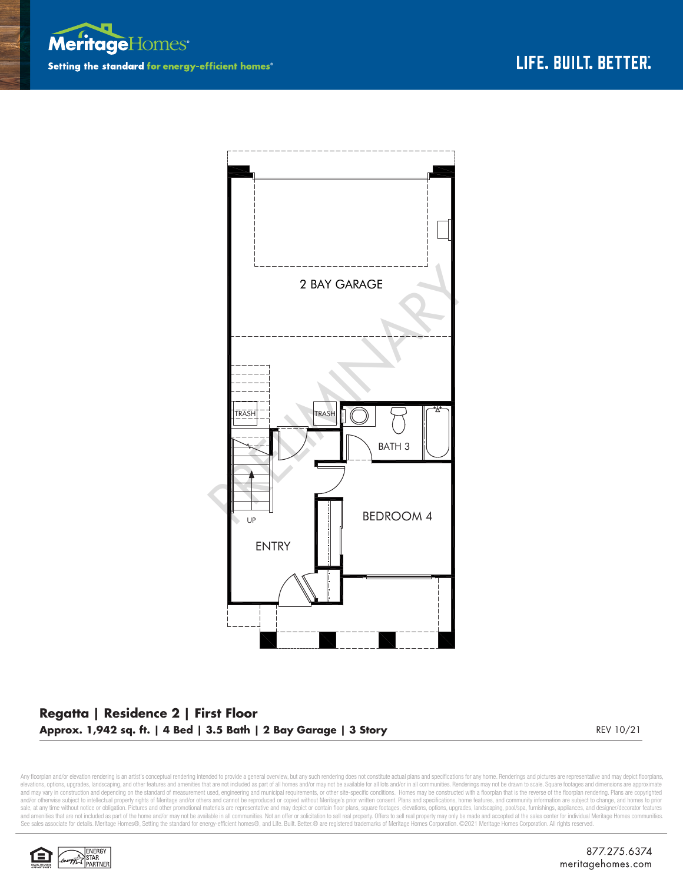



## **Regatta | Residence 2 | First Floor Approx. 1,942 sq. ft. | 4 Bed | 3.5 Bath | 2 Bay Garage | 3 Story** REV 10/21

Any floorplan and/or elevation rendering is an artist's conceptual rendering intended to provide a general overview, but any such rendering does not constitute actual plans and specifications for any home. Renderings and p elevations, options, upgrades, landscaping, and other features and amenities that are not included as part of all homes and/or may not be available for all ols and/or in all communities. Renderings may not be drawn to scal sale, at any time without notice or obligation. Pictures and other promotional materials are representative and may depict or contain floor plans, square footages, elevations, options, upgrades, landscaping, pool/spa, furn See sales associate for details. Meritage Homes®, Setting the standard for energy-efficient homes®, and Life. Built. Better. @ are registered trademarks of Meritage Homes Corporation. ©2021 Meritage Homes Corporation. All

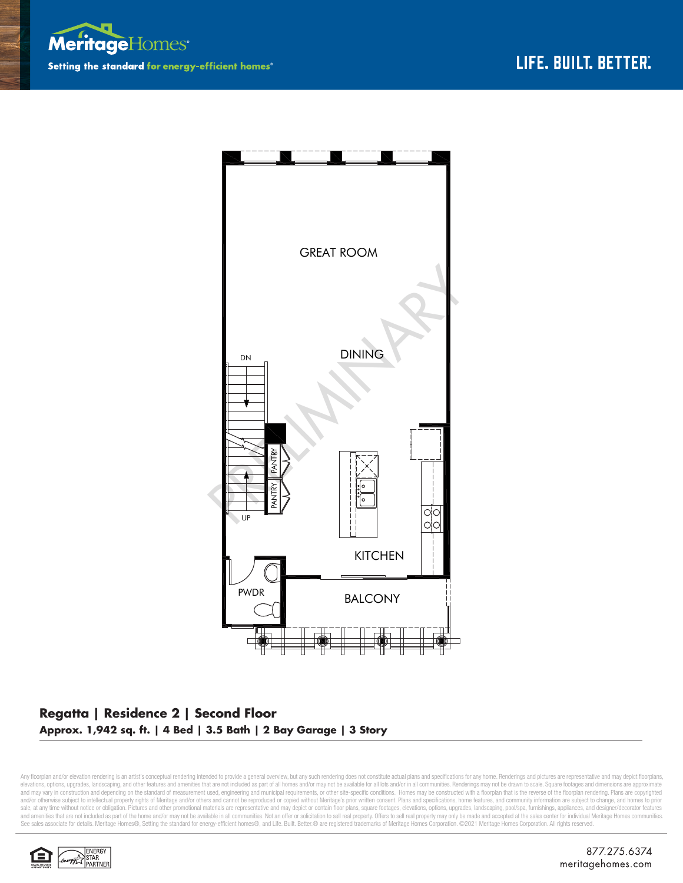



## **Regatta | Residence 2 | Second Floor Approx. 1,942 sq. ft. | 4 Bed | 3.5 Bath | 2 Bay Garage | 3 Story**

Any floorplan and/or elevation rendering is an artist's conceptual rendering intended to provide a general overview, but any such rendering does not constitute actual plans and specifications for any home. Renderings and p elevations, options, upgrades, landscaping, and other features and amenities that are not included as part of all homes and/or may not be available for all ols and/or in all communities. Renderings may not be drawn to scal sale, at any time without notice or obligation. Pictures and other promotional materials are representative and may depict or contain floor plans, square footages, elevations, options, upgrades, landscaping, pool/spa, furn See sales associate for details. Meritage Homes®, Setting the standard for energy-efficient homes®, and Life. Built. Better. @ are registered trademarks of Meritage Homes Corporation. ©2021 Meritage Homes Corporation. All